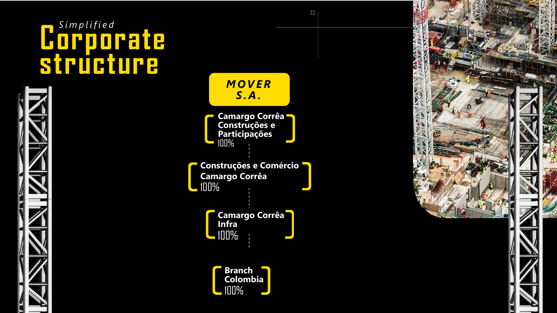## **Corporate** *Simplified* **structure**





 $\boxtimes$  :

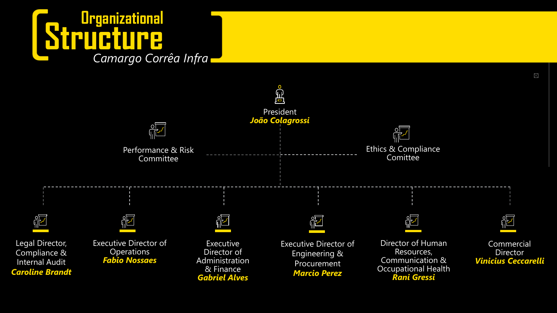## **Structure Organizational** *Camargo Corrêa Infra*



 $\boxtimes$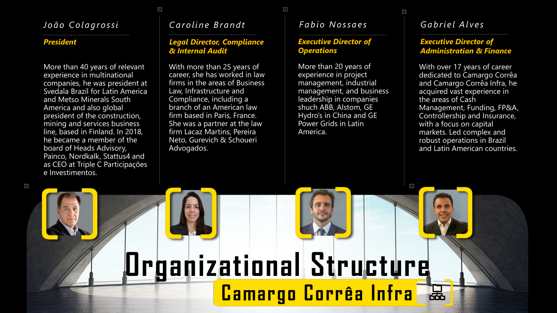## *João Colagrossi*

#### *President*

More than 40 years of relevant experience in multinational companies, he was president at Svedala Brazil for Latin America and Metso Minerals South America and also global president of the construction, mining and services business line, based in Finland. In 2018, he became a member of the board of Heads Advisory, Painco, Nordkalk, Stattus4 and as CEO at Triple C Participações e Investimentos.

## *Caroline Brandt*

 $\boxtimes$ 

### *Legal Director, Compliance & Internal Audit*

With more than 25 years of career, she has worked in law firms in the areas of Business Law, Infrastructure and Compliance, including a branch of an American law firm based in Paris, France. She was a partner at the law firm Lacaz Martins, Pereira Neto, Gurevich & Schoueri Advogados.

## *Fabio Nossaes*

 $\boxtimes$ 

#### *Executive Director of Operations*

More than 20 years of experience in project management, industrial management, and business leadership in companies shuch ABB, Alstom, GE Hydro's in China and GE Power Grids in Latin America.

**Camargo Corrêa Infra**

**Organizational Structure**

## *Gabriel Alves*

 $\boxtimes$ 

 $\boxtimes$ 

### *Executive Director of Administration & Finance*

With over 17 years of career dedicated to Camargo Corrêa and Camargo Corrêa Infra, he acquired vast experience in the areas of Cash Management, Funding, FP&A, Controllership and Insurance, with a focus on capital markets. Led complex and robust operations in Brazil and Latin American countries.